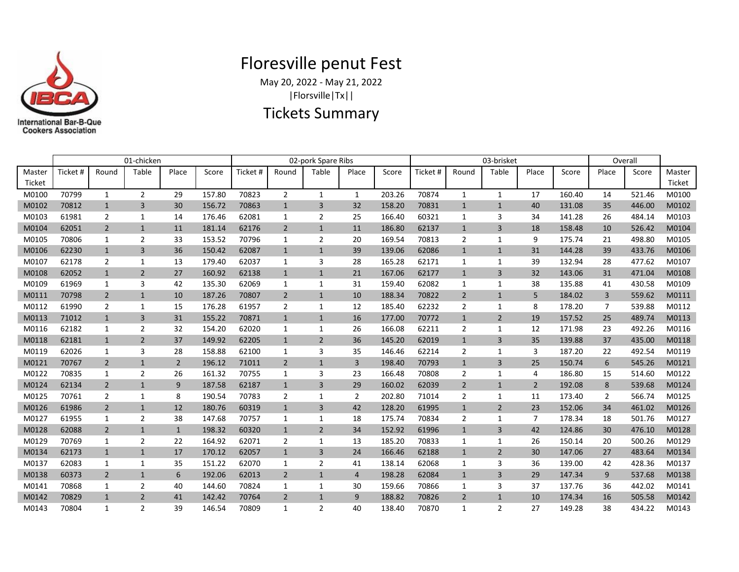

## Floresville penut Fest

May 20, 2022 - May 21, 2022 |Florsville|Tx||

## Tickets Summary

|        | 01-chicken |                |                          |                |        | 02-pork Spare Ribs |                |                |                |        | 03-brisket |                |                |                |        | Overall        |        |        |
|--------|------------|----------------|--------------------------|----------------|--------|--------------------|----------------|----------------|----------------|--------|------------|----------------|----------------|----------------|--------|----------------|--------|--------|
| Master | Ticket #   | Round          | Table                    | Place          | Score  | Ticket #           | Round          | Table          | Place          | Score  | Ticket #   | Round          | Table          | Place          | Score  | Place          | Score  | Master |
| Ticket |            |                |                          |                |        |                    |                |                |                |        |            |                |                |                |        |                |        | Ticket |
| M0100  | 70799      | $\mathbf{1}$   | $\overline{2}$           | 29             | 157.80 | 70823              | $\overline{2}$ | $\mathbf{1}$   | $\mathbf{1}$   | 203.26 | 70874      | $\mathbf{1}$   | $\mathbf{1}$   | 17             | 160.40 | 14             | 521.46 | M0100  |
| M0102  | 70812      | $\mathbf{1}$   | $\overline{3}$           | 30             | 156.72 | 70863              | $\mathbf{1}$   | 3              | 32             | 158.20 | 70831      | $\mathbf{1}$   | $\mathbf{1}$   | 40             | 131.08 | 35             | 446.00 | M0102  |
| M0103  | 61981      | 2              | $\mathbf{1}$             | 14             | 176.46 | 62081              | 1              | $\overline{2}$ | 25             | 166.40 | 60321      | $\mathbf{1}$   | 3              | 34             | 141.28 | 26             | 484.14 | M0103  |
| M0104  | 62051      | $\overline{2}$ | $\mathbf{1}$             | 11             | 181.14 | 62176              | $\overline{2}$ | $\mathbf{1}$   | 11             | 186.80 | 62137      | $\mathbf{1}$   | $\overline{3}$ | 18             | 158.48 | 10             | 526.42 | M0104  |
| M0105  | 70806      | 1              | 2                        | 33             | 153.52 | 70796              | 1              | $\overline{2}$ | 20             | 169.54 | 70813      | 2              | 1              | 9              | 175.74 | 21             | 498.80 | M0105  |
| M0106  | 62230      | $\mathbf{1}$   | 3                        | 36             | 150.42 | 62087              | $\mathbf{1}$   | $\mathbf{1}$   | 39             | 139.06 | 62086      | $\mathbf{1}$   | $\mathbf{1}$   | 31             | 144.28 | 39             | 433.76 | M0106  |
| M0107  | 62178      | 2              | $\mathbf{1}$             | 13             | 179.40 | 62037              | 1              | 3              | 28             | 165.28 | 62171      | 1              | 1              | 39             | 132.94 | 28             | 477.62 | M0107  |
| M0108  | 62052      | $\mathbf{1}$   | 2                        | 27             | 160.92 | 62138              | $\mathbf{1}$   | $\mathbf{1}$   | 21             | 167.06 | 62177      | $\mathbf{1}$   | 3              | 32             | 143.06 | 31             | 471.04 | M0108  |
| M0109  | 61969      | 1              | 3                        | 42             | 135.30 | 62069              | 1              | 1              | 31             | 159.40 | 62082      | $\mathbf{1}$   | $\mathbf{1}$   | 38             | 135.88 | 41             | 430.58 | M0109  |
| M0111  | 70798      | $\overline{2}$ | $\mathbf{1}$             | 10             | 187.26 | 70807              | $\overline{2}$ | $\mathbf{1}$   | 10             | 188.34 | 70822      | $\overline{2}$ | $\mathbf{1}$   | 5              | 184.02 | 3              | 559.62 | M0111  |
| M0112  | 61990      | $\overline{2}$ | 1                        | 15             | 176.28 | 61957              | 2              | 1              | 12             | 185.40 | 62232      | 2              | 1              | 8              | 178.20 | 7              | 539.88 | M0112  |
| M0113  | 71012      | $\mathbf{1}$   | 3                        | 31             | 155.22 | 70871              | $\mathbf{1}$   | $\mathbf{1}$   | 16             | 177.00 | 70772      | $\mathbf{1}$   | $\overline{2}$ | 19             | 157.52 | 25             | 489.74 | M0113  |
| M0116  | 62182      | 1              | $\overline{2}$           | 32             | 154.20 | 62020              | 1              | 1              | 26             | 166.08 | 62211      | $\overline{2}$ | $\mathbf{1}$   | 12             | 171.98 | 23             | 492.26 | M0116  |
| M0118  | 62181      | $\mathbf{1}$   | $\overline{2}$           | 37             | 149.92 | 62205              | $\mathbf{1}$   | $\overline{2}$ | 36             | 145.20 | 62019      | $\mathbf{1}$   | 3              | 35             | 139.88 | 37             | 435.00 | M0118  |
| M0119  | 62026      | 1              | 3                        | 28             | 158.88 | 62100              | 1              | 3              | 35             | 146.46 | 62214      | $\overline{2}$ | 1              | 3              | 187.20 | 22             | 492.54 | M0119  |
| M0121  | 70767      | $\overline{2}$ | $\mathbf{1}$             | $\overline{2}$ | 196.12 | 71011              | $\overline{2}$ | $\mathbf{1}$   | 3              | 198.40 | 70793      | $\mathbf{1}$   | 3              | 25             | 150.74 | 6              | 545.26 | M0121  |
| M0122  | 70835      | 1              | $\overline{2}$           | 26             | 161.32 | 70755              | 1              | 3              | 23             | 166.48 | 70808      | $\overline{2}$ | 1              | 4              | 186.80 | 15             | 514.60 | M0122  |
| M0124  | 62134      | $\overline{2}$ | $\mathbf{1}$             | 9              | 187.58 | 62187              | $\mathbf{1}$   | $\overline{3}$ | 29             | 160.02 | 62039      | $\overline{2}$ | $\mathbf{1}$   | $\overline{2}$ | 192.08 | 8              | 539.68 | M0124  |
| M0125  | 70761      | $\overline{2}$ | 1                        | 8              | 190.54 | 70783              | $\overline{2}$ | 1              | $\overline{2}$ | 202.80 | 71014      | $\overline{2}$ | 1              | 11             | 173.40 | $\overline{2}$ | 566.74 | M0125  |
| M0126  | 61986      | $\overline{2}$ | $\mathbf{1}$             | 12             | 180.76 | 60319              | $\mathbf{1}$   | $\overline{3}$ | 42             | 128.20 | 61995      | $\mathbf{1}$   | $\overline{2}$ | 23             | 152.06 | 34             | 461.02 | M0126  |
| M0127  | 61955      | $\mathbf{1}$   | $\overline{2}$           | 38             | 147.68 | 70757              | 1              | $\mathbf{1}$   | 18             | 175.74 | 70834      | 2              | 1              | $\overline{7}$ | 178.34 | 18             | 501.76 | M0127  |
| M0128  | 62088      | $\overline{2}$ | $\mathbf{1}$             | $\mathbf{1}$   | 198.32 | 60320              | $\mathbf{1}$   | $\overline{2}$ | 34             | 152.92 | 61996      | $\mathbf{1}$   | 3              | 42             | 124.86 | 30             | 476.10 | M0128  |
| M0129  | 70769      | 1              | $\overline{2}$           | 22             | 164.92 | 62071              | $\overline{2}$ | $\mathbf{1}$   | 13             | 185.20 | 70833      | $\mathbf{1}$   | $\mathbf{1}$   | 26             | 150.14 | 20             | 500.26 | M0129  |
| M0134  | 62173      | $\mathbf{1}$   | $\mathbf{1}$             | 17             | 170.12 | 62057              | $\mathbf{1}$   | 3              | 24             | 166.46 | 62188      | $\mathbf{1}$   | $\overline{2}$ | 30             | 147.06 | 27             | 483.64 | M0134  |
| M0137  | 62083      | 1              | $\mathbf{1}$             | 35             | 151.22 | 62070              | 1              | $\overline{2}$ | 41             | 138.14 | 62068      | 1              | 3              | 36             | 139.00 | 42             | 428.36 | M0137  |
| M0138  | 60373      | $\overline{2}$ | $\mathbf{1}$             | 6              | 192.06 | 62013              | $\overline{2}$ | $\mathbf{1}$   | $\overline{4}$ | 198.28 | 62084      | $\mathbf{1}$   | $\overline{3}$ | 29             | 147.34 | 9              | 537.68 | M0138  |
| M0141  | 70868      | 1              | $\overline{2}$           | 40             | 144.60 | 70824              | 1              | $\mathbf{1}$   | 30             | 159.66 | 70866      | $\mathbf{1}$   | 3              | 37             | 137.76 | 36             | 442.02 | M0141  |
| M0142  | 70829      | $\mathbf{1}$   | $\overline{2}$           | 41             | 142.42 | 70764              | $\overline{2}$ | $\mathbf{1}$   | 9              | 188.82 | 70826      | $\overline{2}$ | $\mathbf{1}$   | 10             | 174.34 | 16             | 505.58 | M0142  |
| M0143  | 70804      | $\mathbf{1}$   | $\overline{\phantom{a}}$ | 39             | 146.54 | 70809              | $\mathbf{1}$   | $\overline{2}$ | 40             | 138.40 | 70870      | 1              | $\overline{2}$ | 27             | 149.28 | 38             | 434.22 | M0143  |